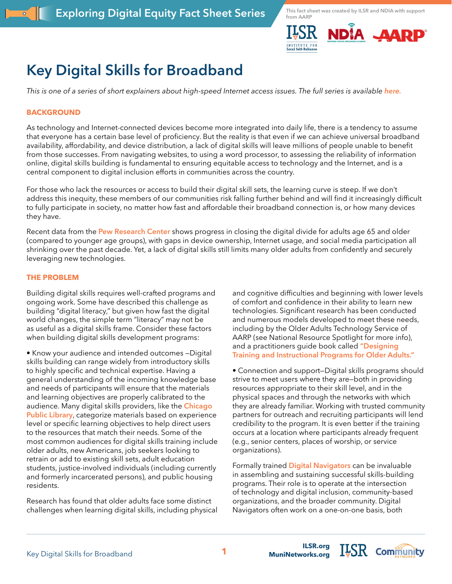

# **Key Digital Skills for Broadband**

*This is one of a series of short explainers about high-speed Internet access issues. The full series is available [here.](https://ilsr.org/exploring-digital-equity-fact-sheets)*

# **BACKGROUND**

As technology and Internet-connected devices become more integrated into daily life, there is a tendency to assume that everyone has a certain base level of proficiency. But the reality is that even if we can achieve universal broadband availability, affordability, and device distribution, a lack of digital skills will leave millions of people unable to benefit from those successes. From navigating websites, to using a word processor, to assessing the reliability of information online, digital skills building is fundamental to ensuring equitable access to technology and the Internet, and is a central component to digital inclusion efforts in communities across the country.

For those who lack the resources or access to build their digital skill sets, the learning curve is steep. If we don't address this inequity, these members of our communities risk falling further behind and will find it increasingly difficult to fully participate in society, no matter how fast and affordable their broadband connection is, or how many devices they have.

Recent data from the **[Pew Research Center](https://www.pewresearch.org/fact-tank/2022/01/13/share-of-those-65-and-older-who-are-tech-users-has-grown-in-the-past-decade/)** shows progress in closing the digital divide for adults age 65 and older (compared to younger age groups), with gaps in device ownership, Internet usage, and social media participation all shrinking over the past decade. Yet, a lack of digital skills still limits many older adults from confidently and securely leveraging new technologies.

# **THE PROBLEM**

Building digital skills requires well-crafted programs and ongoing work. Some have described this challenge as building "digital literacy," but given how fast the digital world changes, the simple term "literacy" may not be as useful as a digital skills frame. Consider these factors when building digital skills development programs:

• Know your audience and intended outcomes —Digital skills building can range widely from introductory skills to highly specific and technical expertise. Having a general understanding of the incoming knowledge base and needs of participants will ensure that the materials and learning objectives are properly calibrated to the audience. Many digital skills providers, like the **[Chicago](https://chipublib.digitallearn.org/)  [Public Library](https://chipublib.digitallearn.org/)**, categorize materials based on experience level or specific learning objectives to help direct users to the resources that match their needs. Some of the most common audiences for digital skills training include older adults, new Americans, job seekers looking to retrain or add to existing skill sets, adult education students, justice-involved individuals (including currently and formerly incarcerated persons), and public housing residents.

Research has found that older adults face some distinct challenges when learning digital skills, including physical and cognitive difficulties and beginning with lower levels of comfort and confidence in their ability to learn new technologies. Significant research has been conducted and numerous models developed to meet these needs, including by the Older Adults Technology Service of AARP (see National Resource Spotlight for more info), and a practitioners guide book called **["Designing](https://www.routledge.com/Designing-Training-and-Instructional-Programs-for-Older-Adults/Czaja-Sharit/p/book/9781439847879)  [Training and Instructional Programs for Older Adults."](https://www.routledge.com/Designing-Training-and-Instructional-Programs-for-Older-Adults/Czaja-Sharit/p/book/9781439847879)**

• Connection and support—Digital skills programs should strive to meet users where they are—both in providing resources appropriate to their skill level, and in the physical spaces and through the networks with which they are already familiar. Working with trusted community partners for outreach and recruiting participants will lend credibility to the program. It is even better if the training occurs at a location where participants already frequent (e.g., senior centers, places of worship, or service organizations).

Formally trained **[Digital Navigators](https://www.digitalinclusion.org/digital-navigator-model/)** can be invaluable in assembling and sustaining successful skills-building programs. Their role is to operate at the intersection of technology and digital inclusion, community-based organizations, and the broader community. Digital Navigators often work on a one-on-one basis, both

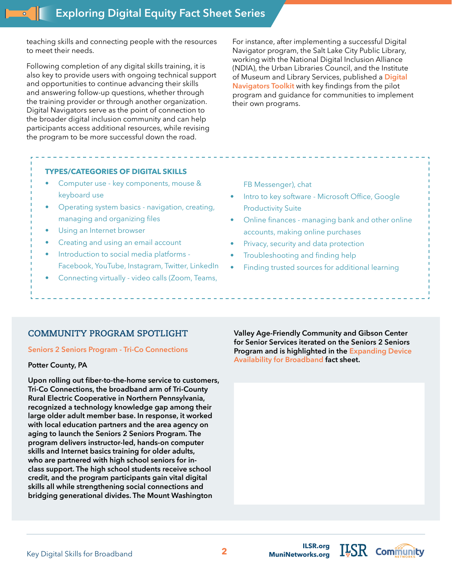teaching skills and connecting people with the resources to meet their needs.

Following completion of any digital skills training, it is also key to provide users with ongoing technical support and opportunities to continue advancing their skills and answering follow-up questions, whether through the training provider or through another organization. Digital Navigators serve as the point of connection to the broader digital inclusion community and can help participants access additional resources, while revising the program to be more successful down the road.

For instance, after implementing a successful Digital Navigator program, the Salt Lake City Public Library, working with the National Digital Inclusion Alliance (NDIA), the Urban Libraries Council, and the Institute of Museum and Library Services, published a **[Digital](https://www.digitalinclusion.org/blog/2021/09/07/salt-lake-city-public-library-publishes-digital-navigator-toolkit/)  [Navigators Toolkit](https://www.digitalinclusion.org/blog/2021/09/07/salt-lake-city-public-library-publishes-digital-navigator-toolkit/)** with key findings from the pilot program and guidance for communities to implement their own programs.

# **TYPES/CATEGORIES OF DIGITAL SKILLS**

- Computer use key components, mouse & keyboard use
- Operating system basics navigation, creating, managing and organizing files
- Using an Internet browser
- Creating and using an email account
- Introduction to social media platforms Facebook, YouTube, Instagram, Twitter, LinkedIn
- Connecting virtually video calls (Zoom, Teams,

FB Messenger), chat

- Intro to key software Microsoft Office, Google Productivity Suite
- Online finances managing bank and other online accounts, making online purchases
- Privacy, security and data protection
- Troubleshooting and finding help
- Finding trusted sources for additional learning

# **COMMUNITY PROGRAM SPOTLIGHT**

#### **[Seniors 2 Seniors Program - Tri-Co Connections](https://www.tri-countyrec.com/senior-2-senior-program/)**

## **Potter County, PA**

**Upon rolling out fiber-to-the-home service to customers, Tri-Co Connections, the broadband arm of Tri-County Rural Electric Cooperative in Northern Pennsylvania, recognized a technology knowledge gap among their large older adult member base. In response, it worked with local education partners and the area agency on aging to launch the Seniors 2 Seniors Program. The program delivers instructor-led, hands-on computer skills and Internet basics training for older adults, who are partnered with high school seniors for inclass support. The high school students receive school credit, and the program participants gain vital digital skills all while strengthening social connections and bridging generational divides. The Mount Washington** 

**Valley Age-Friendly Community and Gibson Center for Senior Services iterated on the Seniors 2 Seniors Program and is highlighted in the [Expanding Device](https://ilsr.org/exploring-digital-equity-fact-sheets)  [Availability for Broadband](https://ilsr.org/exploring-digital-equity-fact-sheets) fact sheet.**

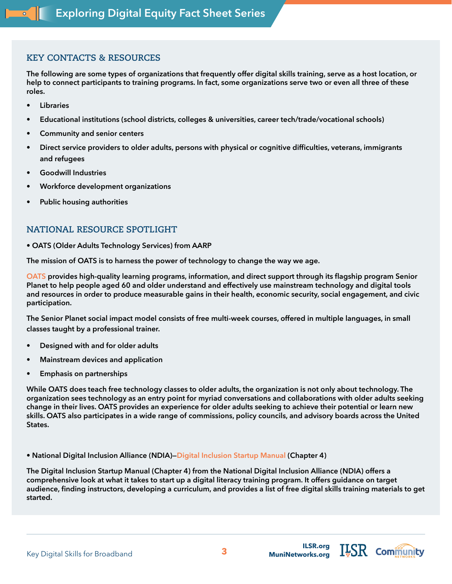# **KEY CONTACTS & RESOURCES**

**The following are some types of organizations that frequently offer digital skills training, serve as a host location, or help to connect participants to training programs. In fact, some organizations serve two or even all three of these roles.**

- **• Libraries**
- **• Educational institutions (school districts, colleges & universities, career tech/trade/vocational schools)**
- **• Community and senior centers**
- **• Direct service providers to older adults, persons with physical or cognitive difficulties, veterans, immigrants and refugees**
- **• Goodwill Industries**
- **• Workforce development organizations**
- **• Public housing authorities**

# **NATIONAL RESOURCE SPOTLIGHT**

**• [OATS \(Older Adults Technology Services\)](https://oats.org/ ) from AARP**

**The mission of OATS is to harness the power of technology to change the way we age.**

**[OATS](http://OATS from AARP) provides high-quality learning programs, information, and direct support through its flagship program Senior Planet to help people aged 60 and older understand and effectively use mainstream technology and digital tools and resources in order to produce measurable gains in their health, economic security, social engagement, and civic participation.**

**The Senior Planet social impact model consists of free multi-week courses, offered in multiple languages, in small classes taught by a professional trainer.**

- **• Designed with and for older adults**
- **• Mainstream devices and application**
- **• Emphasis on partnerships**

**While OATS does teach free technology classes to older adults, the organization is not only about technology. The organization sees technology as an entry point for myriad conversations and collaborations with older adults seeking change in their lives. OATS provides an experience for older adults seeking to achieve their potential or learn new skills. OATS also participates in a wide range of commissions, policy councils, and advisory boards across the United States.**

**• National Digital Inclusion Alliance (NDIA)—[Digital Inclusion Startup Manual](https://startup.digitalinclusion.org/ch4.html ) (Chapter 4)**

**The Digital Inclusion Startup Manual (Chapter 4) from the National Digital Inclusion Alliance (NDIA) offers a comprehensive look at what it takes to start up a digital literacy training program. It offers guidance on target audience, finding instructors, developing a curriculum, and provides a list of free digital skills training materials to get started.**

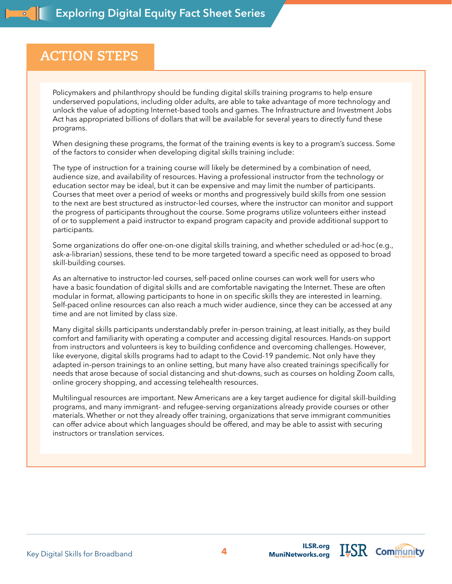# **ACTION STEPS**

Policymakers and philanthropy should be funding digital skills training programs to help ensure underserved populations, including older adults, are able to take advantage of more technology and unlock the value of adopting Internet-based tools and games. The Infrastructure and Investment Jobs Act has [appropriated billions of dollars](https://www.digitalinclusion.org/blog/2021/12/09/digital-inclusion-funding-in-the-infrastructure-investment-jobs-act/) that will be available for several years to directly fund these programs.

When designing these programs, the format of the training events is key to a program's success. Some of the factors to consider when developing digital skills training include:

The type of instruction for a training course will likely be determined by a combination of need, audience size, and availability of resources. Having a professional instructor from the technology or education sector may be ideal, but it can be expensive and may limit the number of participants. Courses that meet over a period of weeks or months and progressively build skills from one session to the next are best structured as instructor-led courses, where the instructor can monitor and support the progress of participants throughout the course. Some programs utilize volunteers either instead of or to supplement a paid instructor to expand program capacity and provide additional support to participants.

Some organizations do offer one-on-one digital skills training, and whether scheduled or ad-hoc (e.g., ask-a-librarian) sessions, these tend to be more targeted toward a specific need as opposed to broad skill-building courses.

As an alternative to instructor-led courses, self-paced online courses can work well for users who have a basic foundation of digital skills and are comfortable navigating the Internet. These are often modular in format, allowing participants to hone in on specific skills they are interested in learning. Self-paced online resources can also reach a much wider audience, since they can be accessed at any time and are not limited by class size.

Many digital skills participants understandably prefer in-person training, at least initially, as they build comfort and familiarity with operating a computer and accessing digital resources. Hands-on support from instructors and volunteers is key to building confidence and overcoming challenges. However, like everyone, digital skills programs had to adapt to the Covid-19 pandemic. Not only have they adapted in-person trainings to an online setting, but many have also created trainings specifically for needs that arose because of social distancing and shut-downs, such as courses on holding Zoom calls, online grocery shopping, and accessing telehealth resources.

Multilingual resources are important. New Americans are a key target audience for digital skill-building programs, and many immigrant- and refugee-serving organizations already provide courses or other materials. Whether or not they already offer training, organizations that serve immigrant communities can offer advice about which languages should be offered, and may be able to assist with securing instructors or translation services.